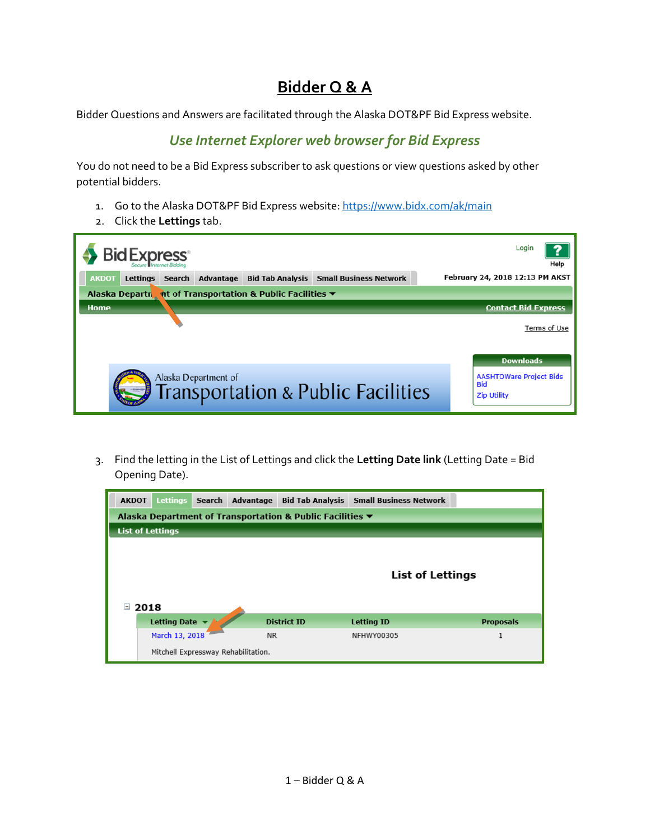## **Bidder Q & A**

Bidder Questions and Answers are facilitated through the Alaska DOT&PF Bid Express website.

## *Use Internet Explorer web browser for Bid Express*

You do not need to be a Bid Express subscriber to ask questions or view questions asked by other potential bidders.

- 1. Go to the Alaska DOT&PF Bid Express website:<https://www.bidx.com/ak/main>
- 2. Click the **Lettings** tab.



3. Find the letting in the List of Lettings and click the **Letting Date link** (Letting Date = Bid Opening Date).

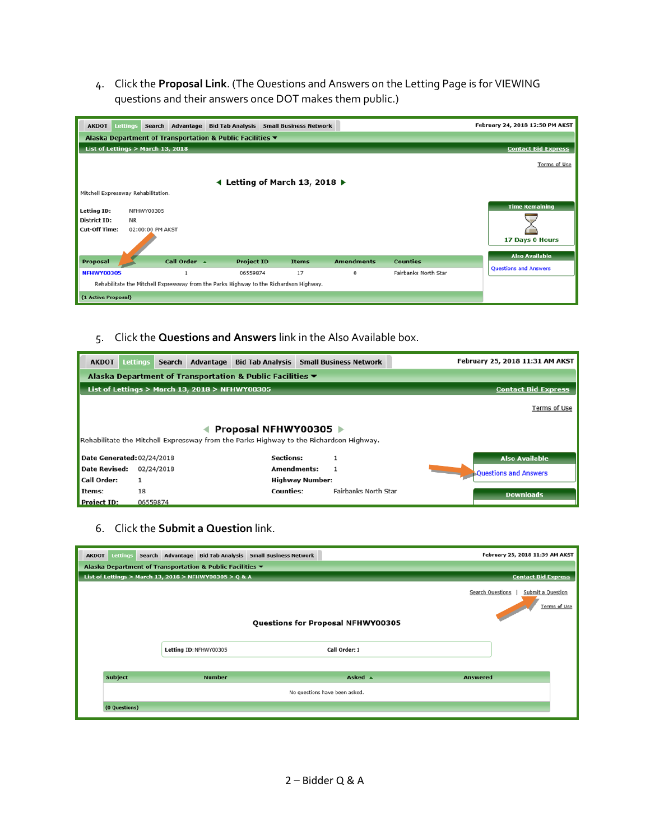4. Click the **Proposal Link**. (The Questions and Answers on the Letting Page is for VIEWING questions and their answers once DOT makes them public.)

| <b>Lettings</b><br><b>AKDOT</b>     |                                                                                        |  |                   | Search Advantage Bid Tab Analysis Small Business Network |                   |                 |                      | February 24, 2018 12:50 PM AKST |  |
|-------------------------------------|----------------------------------------------------------------------------------------|--|-------------------|----------------------------------------------------------|-------------------|-----------------|----------------------|---------------------------------|--|
|                                     | Alaska Department of Transportation & Public Facilities ▼                              |  |                   |                                                          |                   |                 |                      |                                 |  |
|                                     | List of Lettings > March 13, 2018                                                      |  |                   |                                                          |                   |                 |                      | <b>Contact Bid Express</b>      |  |
|                                     |                                                                                        |  |                   |                                                          |                   |                 |                      | Terms of Use                    |  |
|                                     |                                                                                        |  |                   | ← Letting of March 13, 2018                              |                   |                 |                      |                                 |  |
| Mitchell Expressway Rehabilitation. |                                                                                        |  |                   |                                                          |                   |                 |                      |                                 |  |
| <b>Letting ID:</b>                  | NFHWY00305                                                                             |  |                   |                                                          |                   |                 |                      | <b>Time Remaining</b>           |  |
| District ID:                        | <b>NR</b>                                                                              |  |                   |                                                          |                   |                 |                      |                                 |  |
| <b>Cut-Off Time:</b>                | 02:00:00 PM AKST                                                                       |  |                   |                                                          |                   |                 |                      |                                 |  |
|                                     |                                                                                        |  |                   |                                                          |                   |                 |                      | 17 Days 0 Hours                 |  |
|                                     |                                                                                        |  |                   |                                                          |                   |                 |                      | <b>Also Available</b>           |  |
| Proposal                            | Call Order A                                                                           |  | <b>Project ID</b> | <b>Items</b>                                             | <b>Amendments</b> | <b>Counties</b> |                      | <b>Questions and Answers</b>    |  |
| <b>NFHWY00305</b>                   | $\mathbf{1}$                                                                           |  | 06559874          | 17                                                       | 0                 |                 | Fairbanks North Star |                                 |  |
|                                     | Rehabilitate the Mitchell Expressway from the Parks Highway to the Richardson Highway. |  |                   |                                                          |                   |                 |                      |                                 |  |
| (1 Active Proposal)                 |                                                                                        |  |                   |                                                          |                   |                 |                      |                                 |  |

5. Click the **Questions and Answers** link in the Also Available box.

| <b>AKDOT</b>               | <b>Lettings</b>                                                              | Search     | Advantage                                      |                       | <b>Bid Tab Analysis Small Business Network</b>                                         |                      | February 25, 2018 11:31 AM AKST |  |  |
|----------------------------|------------------------------------------------------------------------------|------------|------------------------------------------------|-----------------------|----------------------------------------------------------------------------------------|----------------------|---------------------------------|--|--|
|                            | Alaska Department of Transportation & Public Facilities $\blacktriangledown$ |            |                                                |                       |                                                                                        |                      |                                 |  |  |
|                            |                                                                              |            | List of Lettings > March 13, 2018 > NFHWY00305 |                       |                                                                                        |                      | <b>Contact Bid Express</b>      |  |  |
|                            | Terms of Use                                                                 |            |                                                |                       |                                                                                        |                      |                                 |  |  |
|                            |                                                                              |            |                                                | Proposal NFHWY00305 ▶ |                                                                                        |                      |                                 |  |  |
|                            |                                                                              |            |                                                |                       | Rehabilitate the Mitchell Expressway from the Parks Highway to the Richardson Highway. |                      |                                 |  |  |
| Date Generated: 02/24/2018 |                                                                              |            |                                                | <b>Sections:</b>      |                                                                                        |                      | <b>Also Available</b>           |  |  |
| Date Revised:              |                                                                              | 02/24/2018 |                                                | <b>Amendments:</b>    |                                                                                        |                      | <b>Questions and Answers</b>    |  |  |
| Call Order:                |                                                                              |            |                                                |                       |                                                                                        |                      |                                 |  |  |
| Items:                     | 18                                                                           |            |                                                | <b>Counties:</b>      |                                                                                        | Fairbanks North Star | <b>Downloads</b>                |  |  |
| <b>Project ID:</b>         | 06559874                                                                     |            |                                                |                       |                                                                                        |                      |                                 |  |  |

6. Click the **Submit a Question** link.

| Lettings<br><b>AKDOT</b> |                                                           |                                   | Search Advantage Bid Tab Analysis Small Business Network |                         | February 25, 2018 11:39 AM AKST   |
|--------------------------|-----------------------------------------------------------|-----------------------------------|----------------------------------------------------------|-------------------------|-----------------------------------|
|                          | Alaska Department of Transportation & Public Facilities ▼ |                                   |                                                          |                         |                                   |
|                          | List of Lettings > March 13, 2018 > NFHWY00305 > Q & A    |                                   |                                                          |                         | <b>Contact Bid Express</b>        |
|                          |                                                           |                                   |                                                          | <b>Search Questions</b> | Submit a Question<br>Terms of Use |
|                          |                                                           | Questions for Proposal NFHWY00305 |                                                          |                         |                                   |
|                          |                                                           | Letting ID: NFHWY00305            | Call Order: 1                                            |                         |                                   |
| <b>Subject</b>           |                                                           | <b>Number</b>                     | Asked $\rightarrow$                                      | <b>Answered</b>         |                                   |
|                          |                                                           |                                   | No questions have been asked.                            |                         |                                   |
| (0 Questions)            |                                                           |                                   |                                                          |                         |                                   |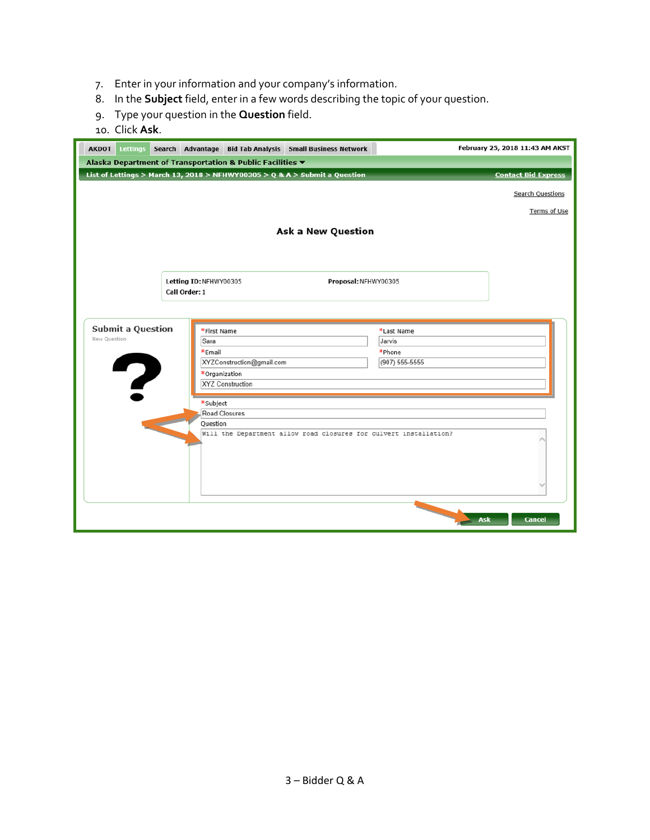- 7. Enter in your information and your company's information.
- 8. In the **Subject** field, enter in a few words describing the topic of your question.
- 9. Type your question in the **Question** field.
- 10. Click **Ask**.

| <b>AKDOT</b><br><b>Lettings</b>               | Search Advantage Bid Tab Analysis Small Business Network                                                   |                                                  | February 25, 2018 11:43 AM AKST |
|-----------------------------------------------|------------------------------------------------------------------------------------------------------------|--------------------------------------------------|---------------------------------|
|                                               | Alaska Department of Transportation & Public Facilities ▼                                                  |                                                  |                                 |
|                                               | List of Lettings > March 13, 2018 > NFHWY00305 > Q & A > Submit a Question                                 |                                                  | <b>Contact Bid Express</b>      |
|                                               |                                                                                                            |                                                  | <b>Search Questions</b>         |
|                                               |                                                                                                            |                                                  | Terms of Use                    |
|                                               | <b>Ask a New Question</b>                                                                                  |                                                  |                                 |
|                                               | Letting ID: NFHWY00305<br>Call Order: 1                                                                    | Proposal: NFHWY00305                             |                                 |
| <b>Submit a Question</b><br>New Question<br>7 | *First Name<br>Sara<br>*Email<br>XYZConstruction@gmail.com<br>*Organization<br><b>XYZ Construction</b>     | *Last Name<br>Jarvis<br>*Phone<br>(907) 555-5555 |                                 |
|                                               | *Subject<br>Road Closures<br>Ouestion<br>Will the Department allow road closures for culvert installation? |                                                  |                                 |
|                                               |                                                                                                            |                                                  | <b>Cancel</b><br>Ask            |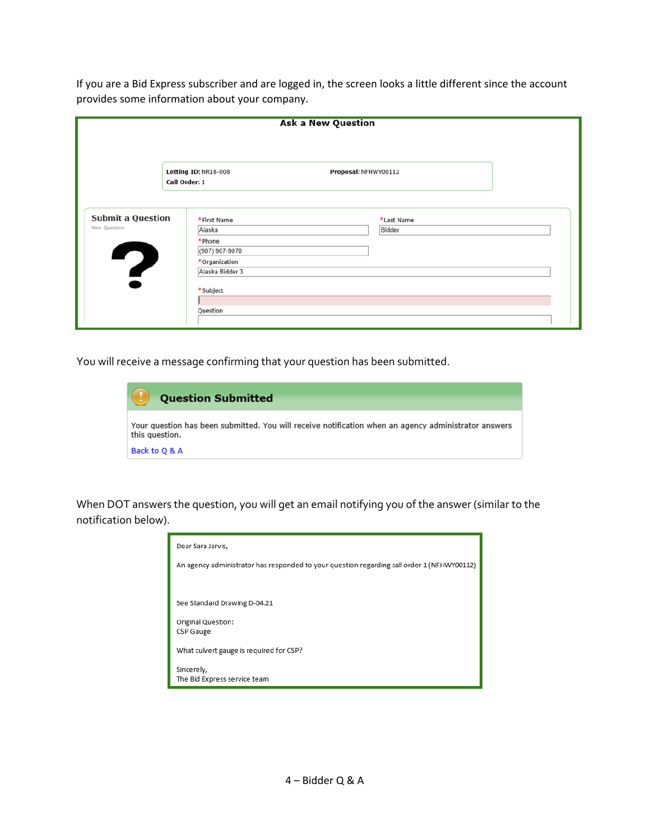If you are a Bid Express subscriber and are logged in, the screen looks a little different since the account provides some information about your company.

|                                               |                                                                    | <b>Ask a New Question</b> |  |
|-----------------------------------------------|--------------------------------------------------------------------|---------------------------|--|
|                                               | Letting ID: NR18-008<br>Call Order: 1                              | Proposal: NFHWY00112      |  |
| <b>Submit a Question</b><br>New Question<br>7 | *First Name<br>Alaska<br>*Phone<br>(907) 907-9070<br>*Organization | *Last Name<br>Bidder      |  |
|                                               | Alaska Bidder 3<br>*Subject<br>Question                            |                           |  |

You will receive a message confirming that your question has been submitted.

| <b>Question Submitted</b>                                                                                              |
|------------------------------------------------------------------------------------------------------------------------|
| Your question has been submitted. You will receive notification when an agency administrator answers<br>this question. |
| Back to Q & A                                                                                                          |

When DOT answers the question, you will get an email notifying you of the answer (similar to the notification below).

| Dear Sara Jarvis,                                                                          |
|--------------------------------------------------------------------------------------------|
| An agency administrator has responded to your question regarding call order 1 (NFHWY00112) |
|                                                                                            |
| See Standard Drawing D-04.21                                                               |
| Original Question:<br>CSP Gauge                                                            |
| What culvert gauge is required for CSP?                                                    |
| Sincerely,<br>The Bid Express service team                                                 |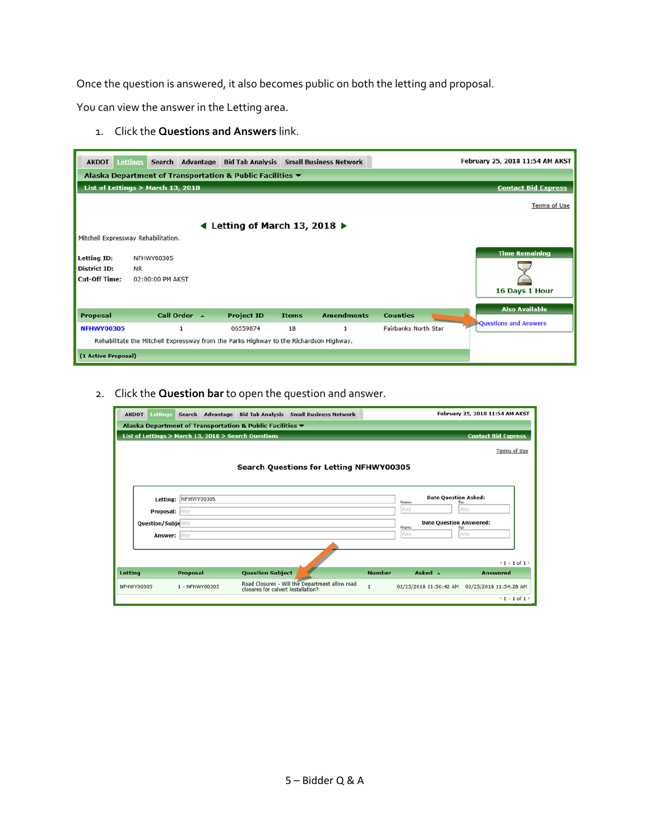Once the question is answered, it also becomes public on both the letting and proposal.

You can view the answer in the Letting area.

1. Click the **Questions and Answers** link.

| <b>AKDOT</b>                        | <b>Lettings</b>                   |                          | Search Advantage Bid Tab Analysis Small Business Network                               |              |                   |                      | February 25, 2018 11:54 AM AKST |  |  |  |  |
|-------------------------------------|-----------------------------------|--------------------------|----------------------------------------------------------------------------------------|--------------|-------------------|----------------------|---------------------------------|--|--|--|--|
|                                     |                                   |                          | Alaska Department of Transportation & Public Facilities ▼                              |              |                   |                      |                                 |  |  |  |  |
|                                     | List of Lettings > March 13, 2018 |                          |                                                                                        |              |                   |                      | <b>Contact Bid Express</b>      |  |  |  |  |
|                                     | Terms of Use                      |                          |                                                                                        |              |                   |                      |                                 |  |  |  |  |
|                                     |                                   |                          | Letting of March 13, 2018 $\blacktriangleright$                                        |              |                   |                      |                                 |  |  |  |  |
| Mitchell Expressway Rehabilitation. |                                   |                          |                                                                                        |              |                   |                      |                                 |  |  |  |  |
| Letting ID:                         | NFHWY00305                        |                          |                                                                                        |              |                   |                      | <b>Time Remaining</b>           |  |  |  |  |
| <b>District ID:</b>                 | NR.                               |                          |                                                                                        |              |                   |                      |                                 |  |  |  |  |
| <b>Cut-Off Time:</b>                | 02:00:00 PM AKST                  |                          |                                                                                        |              |                   |                      |                                 |  |  |  |  |
|                                     |                                   |                          |                                                                                        |              |                   |                      | 16 Days 1 Hour                  |  |  |  |  |
|                                     |                                   |                          |                                                                                        |              |                   |                      | <b>Also Available</b>           |  |  |  |  |
| Proposal                            |                                   | Call Order $\rightarrow$ | <b>Project ID</b>                                                                      | <b>Items</b> | <b>Amendments</b> | <b>Counties</b>      | <b>PQuestions and Answers</b>   |  |  |  |  |
| <b>NFHWY00305</b>                   |                                   |                          | 06559874                                                                               | 18           | 1                 | Fairbanks North Star |                                 |  |  |  |  |
|                                     |                                   |                          | Rehabilitate the Mitchell Expressway from the Parks Highway to the Richardson Highway. |              |                   |                      |                                 |  |  |  |  |
| (1 Active Proposal)                 |                                   |                          |                                                                                        |              |                   |                      |                                 |  |  |  |  |

2. Click the **Question bar** to open the question and answer.

| Lettings<br><b>AKDOT</b> | Search Advantage                                          | <b>Bid Tab Analysis</b>            | <b>Small Business Network</b>                  |               |                                               | February 25, 2018 11:54 AM AKST |  |
|--------------------------|-----------------------------------------------------------|------------------------------------|------------------------------------------------|---------------|-----------------------------------------------|---------------------------------|--|
|                          | Alaska Department of Transportation & Public Facilities ▼ |                                    |                                                |               |                                               |                                 |  |
|                          | List of Lettings > March 13, 2018 > Search Questions      |                                    |                                                |               |                                               | <b>Contact Bid Express</b>      |  |
|                          |                                                           |                                    |                                                |               |                                               | Terms of Use                    |  |
|                          |                                                           |                                    | <b>Search Questions for Letting NFHWY00305</b> |               |                                               |                                 |  |
|                          | Letting: NFHWY00305                                       |                                    |                                                |               | <b>Date Question Asked:</b><br>From:          | To:                             |  |
| Proposal: Any            |                                                           |                                    |                                                |               | Any                                           | Any                             |  |
| Question/Subje Any       |                                                           |                                    |                                                |               | <b>Date Question Answered:</b><br>From:       | To:                             |  |
| Answer: Any              |                                                           |                                    |                                                |               | Any                                           | Any                             |  |
|                          |                                                           |                                    |                                                |               |                                               |                                 |  |
|                          |                                                           |                                    |                                                |               |                                               | $(1 - 1)$ of $1$                |  |
| <b>Letting</b>           | <b>Proposal</b>                                           | <b>Question Subject</b>            |                                                | <b>Number</b> | Asked $\rightarrow$                           | <b>Answered</b>                 |  |
| NFHWY00305               | 1 - NFHWY00305                                            | closures for culvert installation? | Road Closures - Will the Department allow road | $\mathbf{1}$  | 02/25/2018 11:50:42 AM 02/25/2018 11:54:28 AM |                                 |  |
|                          |                                                           |                                    |                                                |               |                                               | $(1 - 1)$ of $1$                |  |